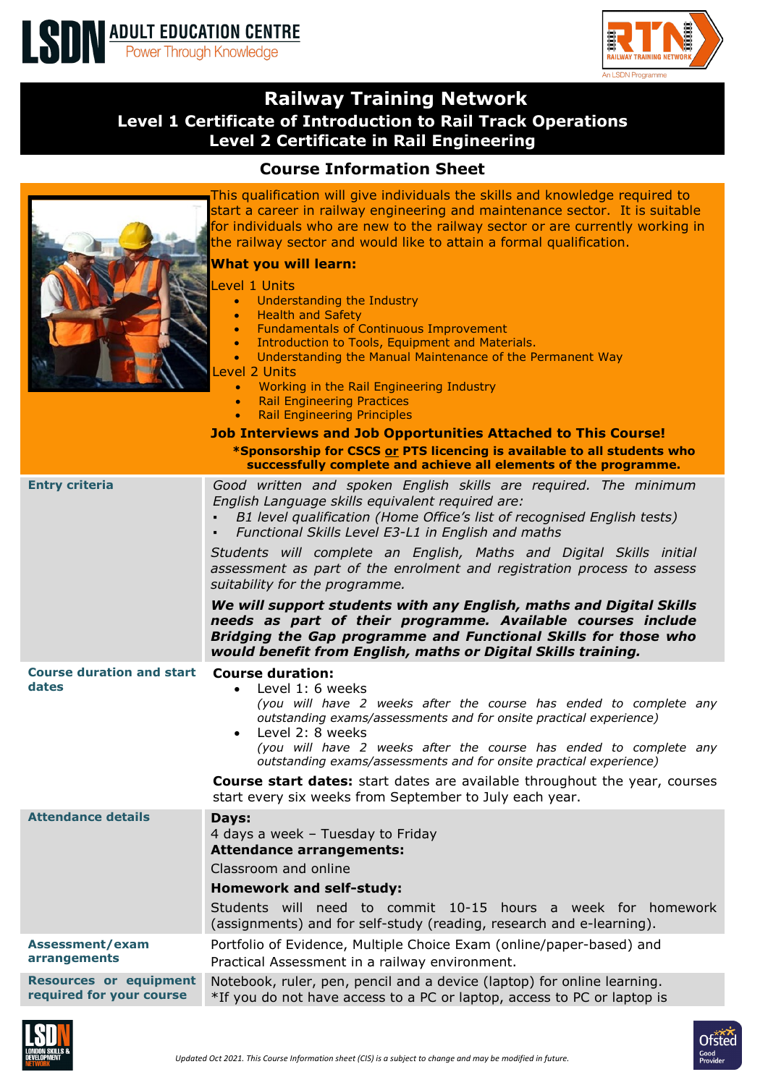

An LSDN Programme

## **Railway Training Network Level 1 Certificate of Introduction to Rail Track Operations Level 2 Certificate in Rail Engineering**

## **Course Information Sheet**

|                                                                  | This qualification will give individuals the skills and knowledge required to<br>start a career in railway engineering and maintenance sector. It is suitable<br>for individuals who are new to the railway sector or are currently working in<br>the railway sector and would like to attain a formal qualification.<br><b>What you will learn:</b><br>evel 1 Units<br><b>Understanding the Industry</b><br>$\bullet$<br><b>Health and Safety</b><br>$\bullet$<br><b>Fundamentals of Continuous Improvement</b><br>$\bullet$<br>Introduction to Tools, Equipment and Materials.<br>$\bullet$<br>Understanding the Manual Maintenance of the Permanent Way<br>$\bullet$<br>Level 2 Units<br>Working in the Rail Engineering Industry<br>$\bullet$<br><b>Rail Engineering Practices</b><br>$\bullet$<br><b>Rail Engineering Principles</b><br><b>Job Interviews and Job Opportunities Attached to This Course!</b><br>*Sponsorship for CSCS or PTS licencing is available to all students who |  |
|------------------------------------------------------------------|----------------------------------------------------------------------------------------------------------------------------------------------------------------------------------------------------------------------------------------------------------------------------------------------------------------------------------------------------------------------------------------------------------------------------------------------------------------------------------------------------------------------------------------------------------------------------------------------------------------------------------------------------------------------------------------------------------------------------------------------------------------------------------------------------------------------------------------------------------------------------------------------------------------------------------------------------------------------------------------------|--|
| successfully complete and achieve all elements of the programme. |                                                                                                                                                                                                                                                                                                                                                                                                                                                                                                                                                                                                                                                                                                                                                                                                                                                                                                                                                                                              |  |
| <b>Entry criteria</b>                                            | Good written and spoken English skills are required. The minimum<br>English Language skills equivalent required are:<br>B1 level qualification (Home Office's list of recognised English tests)<br>Functional Skills Level E3-L1 in English and maths<br>Students will complete an English, Maths and Digital Skills initial<br>assessment as part of the enrolment and registration process to assess<br>suitability for the programme.<br>We will support students with any English, maths and Digital Skills<br>needs as part of their programme. Available courses include<br>Bridging the Gap programme and Functional Skills for those who                                                                                                                                                                                                                                                                                                                                             |  |
|                                                                  | would benefit from English, maths or Digital Skills training.                                                                                                                                                                                                                                                                                                                                                                                                                                                                                                                                                                                                                                                                                                                                                                                                                                                                                                                                |  |
| <b>Course duration and start</b><br>dates                        | <b>Course duration:</b><br>Level 1: 6 weeks<br>$\bullet$<br>(you will have 2 weeks after the course has ended to complete any<br>outstanding exams/assessments and for onsite practical experience)<br>Level 2: 8 weeks<br>(you will have 2 weeks after the course has ended to complete any<br>outstanding exams/assessments and for onsite practical experience)<br><b>Course start dates:</b> start dates are available throughout the year, courses<br>start every six weeks from September to July each year.                                                                                                                                                                                                                                                                                                                                                                                                                                                                           |  |
| <b>Attendance details</b>                                        | Days:<br>4 days a week - Tuesday to Friday<br><b>Attendance arrangements:</b>                                                                                                                                                                                                                                                                                                                                                                                                                                                                                                                                                                                                                                                                                                                                                                                                                                                                                                                |  |
|                                                                  | Classroom and online                                                                                                                                                                                                                                                                                                                                                                                                                                                                                                                                                                                                                                                                                                                                                                                                                                                                                                                                                                         |  |
|                                                                  | <b>Homework and self-study:</b>                                                                                                                                                                                                                                                                                                                                                                                                                                                                                                                                                                                                                                                                                                                                                                                                                                                                                                                                                              |  |
|                                                                  | Students will need to commit 10-15 hours a week for homework<br>(assignments) and for self-study (reading, research and e-learning).                                                                                                                                                                                                                                                                                                                                                                                                                                                                                                                                                                                                                                                                                                                                                                                                                                                         |  |
| Assessment/exam<br>arrangements                                  | Portfolio of Evidence, Multiple Choice Exam (online/paper-based) and<br>Practical Assessment in a railway environment.                                                                                                                                                                                                                                                                                                                                                                                                                                                                                                                                                                                                                                                                                                                                                                                                                                                                       |  |
| <b>Resources or equipment</b><br>required for your course        | Notebook, ruler, pen, pencil and a device (laptop) for online learning.<br>*If you do not have access to a PC or laptop, access to PC or laptop is                                                                                                                                                                                                                                                                                                                                                                                                                                                                                                                                                                                                                                                                                                                                                                                                                                           |  |